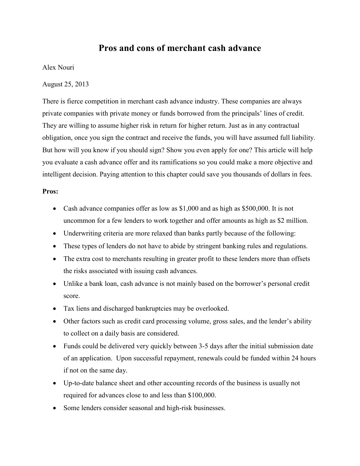## **Pros and cons of merchant cash advance**

Alex Nouri

August 25, 2013

There is fierce competition in merchant cash advance industry. These companies are always private companies with private money or funds borrowed from the principals' lines of credit. They are willing to assume higher risk in return for higher return. Just as in any contractual obligation, once you sign the contract and receive the funds, you will have assumed full liability. But how will you know if you should sign? Show you even apply for one? This article will help you evaluate a cash advance offer and its ramifications so you could make a more objective and intelligent decision. Paying attention to this chapter could save you thousands of dollars in fees.

## **Pros:**

- Cash advance companies offer as low as \$1,000 and as high as \$500,000. It is not uncommon for a few lenders to work together and offer amounts as high as \$2 million.
- Underwriting criteria are more relaxed than banks partly because of the following:
- These types of lenders do not have to abide by stringent banking rules and regulations.
- The extra cost to merchants resulting in greater profit to these lenders more than offsets the risks associated with issuing cash advances.
- Unlike a bank loan, cash advance is not mainly based on the borrower's personal credit score.
- Tax liens and discharged bankruptcies may be overlooked.
- Other factors such as credit card processing volume, gross sales, and the lender's ability to collect on a daily basis are considered.
- Funds could be delivered very quickly between 3-5 days after the initial submission date of an application. Upon successful repayment, renewals could be funded within 24 hours if not on the same day.
- Up-to-date balance sheet and other accounting records of the business is usually not required for advances close to and less than \$100,000.
- Some lenders consider seasonal and high-risk businesses.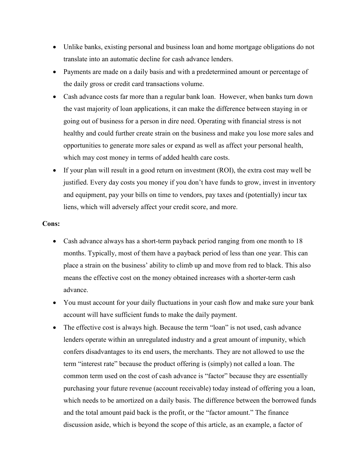- Unlike banks, existing personal and business loan and home mortgage obligations do not translate into an automatic decline for cash advance lenders.
- Payments are made on a daily basis and with a predetermined amount or percentage of the daily gross or credit card transactions volume.
- Cash advance costs far more than a regular bank loan. However, when banks turn down the vast majority of loan applications, it can make the difference between staying in or going out of business for a person in dire need. Operating with financial stress is not healthy and could further create strain on the business and make you lose more sales and opportunities to generate more sales or expand as well as affect your personal health, which may cost money in terms of added health care costs.
- If your plan will result in a good return on investment (ROI), the extra cost may well be justified. Every day costs you money if you don't have funds to grow, invest in inventory and equipment, pay your bills on time to vendors, pay taxes and (potentially) incur tax liens, which will adversely affect your credit score, and more.

## **Cons:**

- Cash advance always has a short-term payback period ranging from one month to 18 months. Typically, most of them have a payback period of less than one year. This can place a strain on the business' ability to climb up and move from red to black. This also means the effective cost on the money obtained increases with a shorter-term cash advance.
- You must account for your daily fluctuations in your cash flow and make sure your bank account will have sufficient funds to make the daily payment.
- The effective cost is always high. Because the term "loan" is not used, cash advance lenders operate within an unregulated industry and a great amount of impunity, which confers disadvantages to its end users, the merchants. They are not allowed to use the term "interest rate" because the product offering is (simply) not called a loan. The common term used on the cost of cash advance is "factor" because they are essentially purchasing your future revenue (account receivable) today instead of offering you a loan, which needs to be amortized on a daily basis. The difference between the borrowed funds and the total amount paid back is the profit, or the "factor amount." The finance discussion aside, which is beyond the scope of this article, as an example, a factor of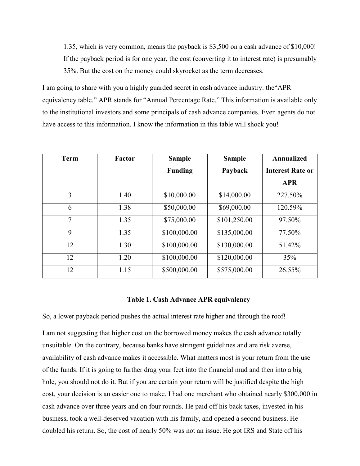1.35, which is very common, means the payback is \$3,500 on a cash advance of \$10,000! If the payback period is for one year, the cost (converting it to interest rate) is presumably 35%. But the cost on the money could skyrocket as the term decreases.

I am going to share with you a highly guarded secret in cash advance industry: the"APR equivalency table." APR stands for "Annual Percentage Rate." This information is available only to the institutional investors and some principals of cash advance companies. Even agents do not have access to this information. I know the information in this table will shock you!

| <b>Term</b> | <b>Factor</b> | <b>Sample</b>  | <b>Sample</b> | Annualized              |
|-------------|---------------|----------------|---------------|-------------------------|
|             |               | <b>Funding</b> | Payback       | <b>Interest Rate or</b> |
|             |               |                |               | <b>APR</b>              |
| 3           | 1.40          | \$10,000.00    | \$14,000.00   | 227.50%                 |
| 6           | 1.38          | \$50,000.00    | \$69,000.00   | 120.59%                 |
| 7           | 1.35          | \$75,000.00    | \$101,250.00  | 97.50%                  |
| 9           | 1.35          | \$100,000.00   | \$135,000.00  | 77.50%                  |
| 12          | 1.30          | \$100,000.00   | \$130,000.00  | 51.42%                  |
| 12          | 1.20          | \$100,000.00   | \$120,000.00  | 35%                     |
| 12          | 1.15          | \$500,000.00   | \$575,000.00  | 26.55%                  |

## **Table 1. Cash Advance APR equivalency**

So, a lower payback period pushes the actual interest rate higher and through the roof!

I am not suggesting that higher cost on the borrowed money makes the cash advance totally unsuitable. On the contrary, because banks have stringent guidelines and are risk averse, availability of cash advance makes it accessible. What matters most is your return from the use of the funds. If it is going to further drag your feet into the financial mud and then into a big hole, you should not do it. But if you are certain your return will be justified despite the high cost, your decision is an easier one to make. I had one merchant who obtained nearly \$300,000 in cash advance over three years and on four rounds. He paid off his back taxes, invested in his business, took a well-deserved vacation with his family, and opened a second business. He doubled his return. So, the cost of nearly 50% was not an issue. He got IRS and State off his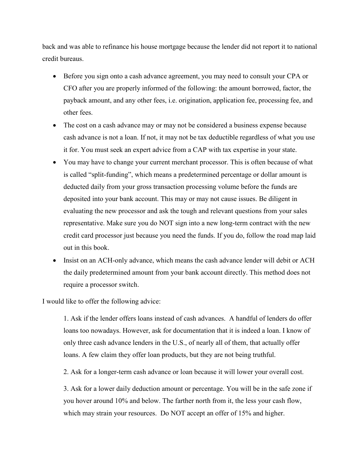back and was able to refinance his house mortgage because the lender did not report it to national credit bureaus.

- Before you sign onto a cash advance agreement, you may need to consult your CPA or CFO after you are properly informed of the following: the amount borrowed, factor, the payback amount, and any other fees, i.e. origination, application fee, processing fee, and other fees.
- The cost on a cash advance may or may not be considered a business expense because cash advance is not a loan. If not, it may not be tax deductible regardless of what you use it for. You must seek an expert advice from a CAP with tax expertise in your state.
- You may have to change your current merchant processor. This is often because of what is called "split-funding", which means a predetermined percentage or dollar amount is deducted daily from your gross transaction processing volume before the funds are deposited into your bank account. This may or may not cause issues. Be diligent in evaluating the new processor and ask the tough and relevant questions from your sales representative. Make sure you do NOT sign into a new long-term contract with the new credit card processor just because you need the funds. If you do, follow the road map laid out in this book.
- Insist on an ACH-only advance, which means the cash advance lender will debit or ACH the daily predetermined amount from your bank account directly. This method does not require a processor switch.

I would like to offer the following advice:

1. Ask if the lender offers loans instead of cash advances. A handful of lenders do offer loans too nowadays. However, ask for documentation that it is indeed a loan. I know of only three cash advance lenders in the U.S., of nearly all of them, that actually offer loans. A few claim they offer loan products, but they are not being truthful.

2. Ask for a longer-term cash advance or loan because it will lower your overall cost.

3. Ask for a lower daily deduction amount or percentage. You will be in the safe zone if you hover around 10% and below. The farther north from it, the less your cash flow, which may strain your resources. Do NOT accept an offer of 15% and higher.